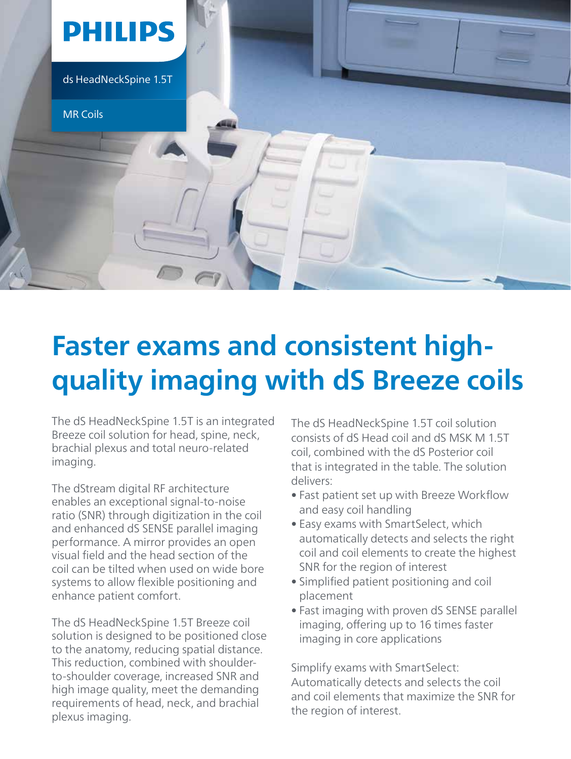

## **Faster exams and consistent highquality imaging with dS Breeze coils**

The dS HeadNeckSpine 1.5T is an integrated Breeze coil solution for head, spine, neck, brachial plexus and total neuro-related imaging.

The dStream digital RF architecture enables an exceptional signal-to-noise ratio (SNR) through digitization in the coil and enhanced dS SENSE parallel imaging performance. A mirror provides an open visual field and the head section of the coil can be tilted when used on wide bore systems to allow flexible positioning and enhance patient comfort.

The dS HeadNeckSpine 1.5T Breeze coil solution is designed to be positioned close to the anatomy, reducing spatial distance. This reduction, combined with shoulderto-shoulder coverage, increased SNR and high image quality, meet the demanding requirements of head, neck, and brachial plexus imaging.

The dS HeadNeckSpine 1.5T coil solution consists of dS Head coil and dS MSK M 1.5T coil, combined with the dS Posterior coil that is integrated in the table. The solution delivers:

- Fast patient set up with Breeze Workflow and easy coil handling
- Easy exams with SmartSelect, which automatically detects and selects the right coil and coil elements to create the highest SNR for the region of interest
- Simplified patient positioning and coil placement
- Fast imaging with proven dS SENSE parallel imaging, offering up to 16 times faster imaging in core applications

Simplify exams with SmartSelect: Automatically detects and selects the coil and coil elements that maximize the SNR for the region of interest.